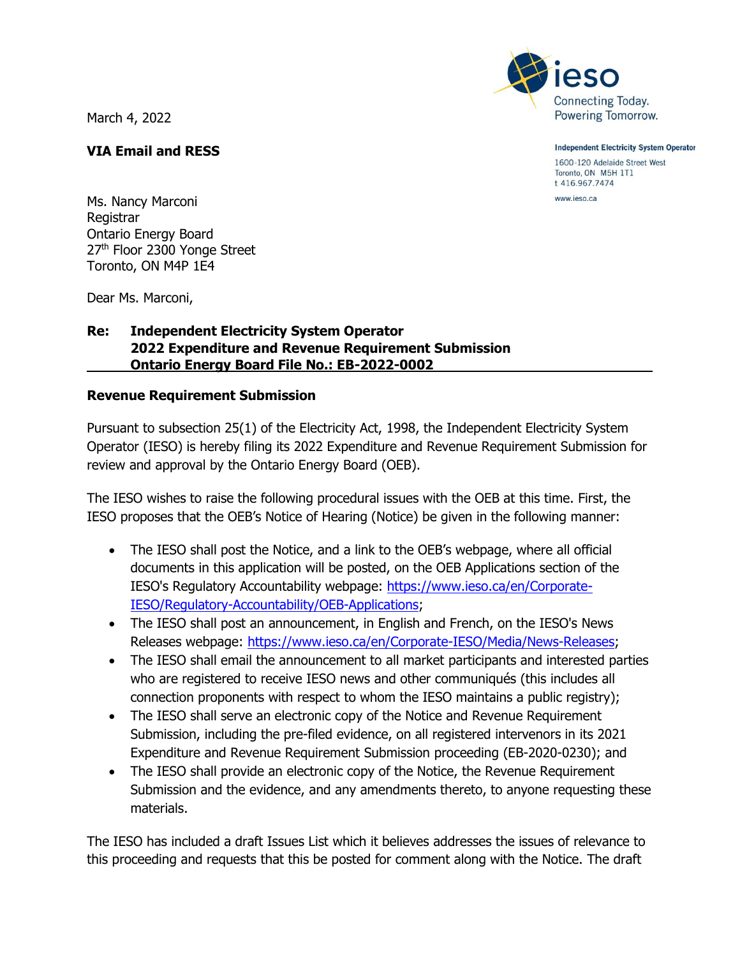March 4, 2022



Ms. Nancy Marconi Registrar Ontario Energy Board 27<sup>th</sup> Floor 2300 Yonge Street Toronto, ON M4P 1E4

Dear Ms. Marconi,

## **Re: Independent Electricity System Operator 2022 Expenditure and Revenue Requirement Submission Ontario Energy Board File No.: EB-2022-0002**

#### **Revenue Requirement Submission**

Pursuant to subsection 25(1) of the Electricity Act, 1998, the Independent Electricity System Operator (IESO) is hereby filing its 2022 Expenditure and Revenue Requirement Submission for review and approval by the Ontario Energy Board (OEB).

The IESO wishes to raise the following procedural issues with the OEB at this time. First, the IESO proposes that the OEB's Notice of Hearing (Notice) be given in the following manner:

- The IESO shall post the Notice, and a link to the OEB's webpage, where all official documents in this application will be posted, on the OEB Applications section of the IESO's Regulatory Accountability webpage: [https://www.ieso.ca/en/Corporate-](https://www.ieso.ca/en/Corporate-IESO/Regulatory-Accountability/OEB-Applications)[IESO/Regulatory-Accountability/OEB-Applications;](https://www.ieso.ca/en/Corporate-IESO/Regulatory-Accountability/OEB-Applications)
- The IESO shall post an announcement, in English and French, on the IESO's News Releases webpage: [https://www.ieso.ca/en/Corporate-IESO/Media/News-Releases;](https://www.ieso.ca/en/Corporate-IESO/Media/News-Releases)
- The IESO shall email the announcement to all market participants and interested parties who are registered to receive IESO news and other communiqués (this includes all connection proponents with respect to whom the IESO maintains a public registry);
- The IESO shall serve an electronic copy of the Notice and Revenue Requirement Submission, including the pre-filed evidence, on all registered intervenors in its 2021 Expenditure and Revenue Requirement Submission proceeding (EB-2020-0230); and
- The IESO shall provide an electronic copy of the Notice, the Revenue Requirement Submission and the evidence, and any amendments thereto, to anyone requesting these materials.

The IESO has included a draft Issues List which it believes addresses the issues of relevance to this proceeding and requests that this be posted for comment along with the Notice. The draft



**Independent Electricity System Operator** 

1600-120 Adelaide Street West Toronto, ON M5H 1T1 t 416.967.7474

www.ieso.ca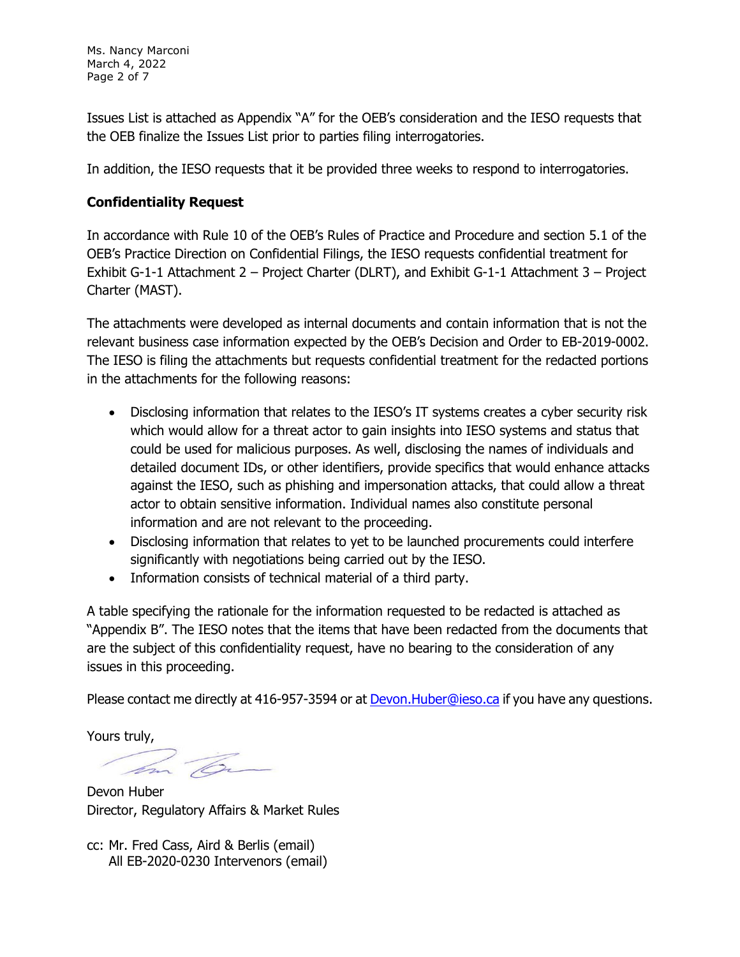Ms. Nancy Marconi March 4, 2022 Page 2 of 7

Issues List is attached as Appendix "A" for the OEB's consideration and the IESO requests that the OEB finalize the Issues List prior to parties filing interrogatories.

In addition, the IESO requests that it be provided three weeks to respond to interrogatories.

### **Confidentiality Request**

In accordance with Rule 10 of the OEB's Rules of Practice and Procedure and section 5.1 of the OEB's Practice Direction on Confidential Filings, the IESO requests confidential treatment for Exhibit G-1-1 Attachment 2 – Project Charter (DLRT), and Exhibit G-1-1 Attachment 3 – Project Charter (MAST).

The attachments were developed as internal documents and contain information that is not the relevant business case information expected by the OEB's Decision and Order to EB-2019-0002. The IESO is filing the attachments but requests confidential treatment for the redacted portions in the attachments for the following reasons:

- Disclosing information that relates to the IESO's IT systems creates a cyber security risk which would allow for a threat actor to gain insights into IESO systems and status that could be used for malicious purposes. As well, disclosing the names of individuals and detailed document IDs, or other identifiers, provide specifics that would enhance attacks against the IESO, such as phishing and impersonation attacks, that could allow a threat actor to obtain sensitive information. Individual names also constitute personal information and are not relevant to the proceeding.
- Disclosing information that relates to yet to be launched procurements could interfere significantly with negotiations being carried out by the IESO.
- Information consists of technical material of a third party.

A table specifying the rationale for the information requested to be redacted is attached as "Appendix B". The IESO notes that the items that have been redacted from the documents that are the subject of this confidentiality request, have no bearing to the consideration of any issues in this proceeding.

Please contact me directly at 416-957-3594 or at [Devon.Huber@ieso.ca](mailto:Devon.Huber@ieso.ca) if you have any questions.

Yours truly,

Devon Huber Director, Regulatory Affairs & Market Rules

cc: Mr. Fred Cass, Aird & Berlis (email) All EB-2020-0230 Intervenors (email)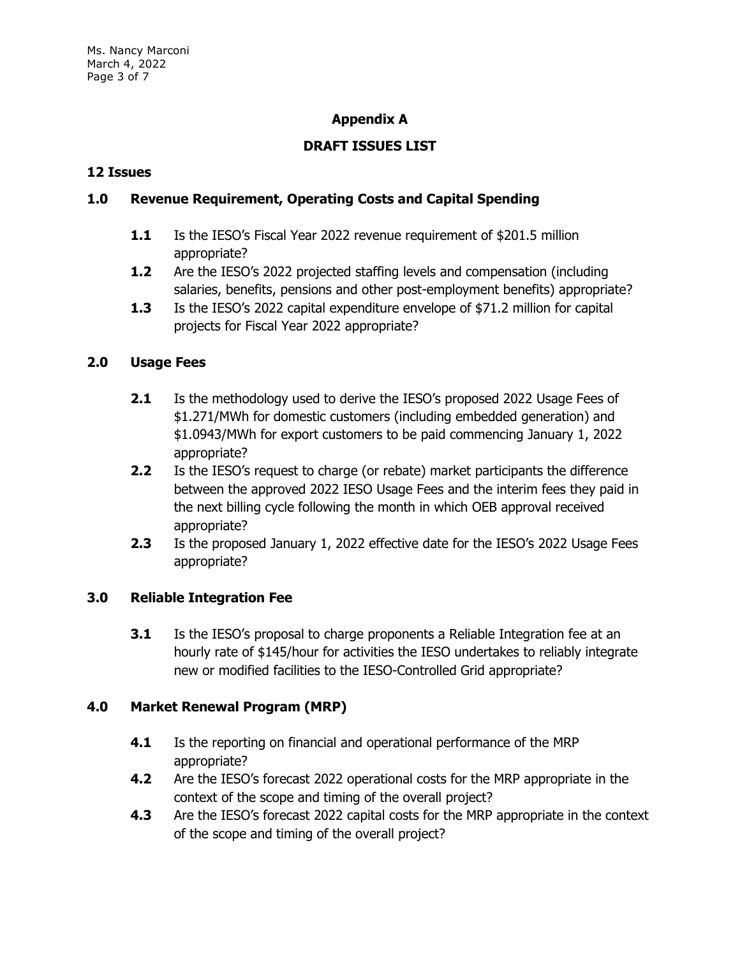# **Appendix A**

# **DRAFT ISSUES LIST**

#### **12 Issues**

# **1.0 Revenue Requirement, Operating Costs and Capital Spending**

- **1.1** Is the IESO's Fiscal Year 2022 revenue requirement of \$201.5 million appropriate?
- **1.2** Are the IESO's 2022 projected staffing levels and compensation (including salaries, benefits, pensions and other post-employment benefits) appropriate?
- **1.3** Is the IESO's 2022 capital expenditure envelope of \$71.2 million for capital projects for Fiscal Year 2022 appropriate?

#### **2.0 Usage Fees**

- **2.1** Is the methodology used to derive the IESO's proposed 2022 Usage Fees of \$1.271/MWh for domestic customers (including embedded generation) and \$1.0943/MWh for export customers to be paid commencing January 1, 2022 appropriate?
- **2.2** Is the IESO's request to charge (or rebate) market participants the difference between the approved 2022 IESO Usage Fees and the interim fees they paid in the next billing cycle following the month in which OEB approval received appropriate?
- **2.3** Is the proposed January 1, 2022 effective date for the IESO's 2022 Usage Fees appropriate?

#### **3.0 Reliable Integration Fee**

**3.1** Is the IESO's proposal to charge proponents a Reliable Integration fee at an hourly rate of \$145/hour for activities the IESO undertakes to reliably integrate new or modified facilities to the IESO-Controlled Grid appropriate?

#### **4.0 Market Renewal Program (MRP)**

- **4.1** Is the reporting on financial and operational performance of the MRP appropriate?
- **4.2** Are the IESO's forecast 2022 operational costs for the MRP appropriate in the context of the scope and timing of the overall project?
- **4.3** Are the IESO's forecast 2022 capital costs for the MRP appropriate in the context of the scope and timing of the overall project?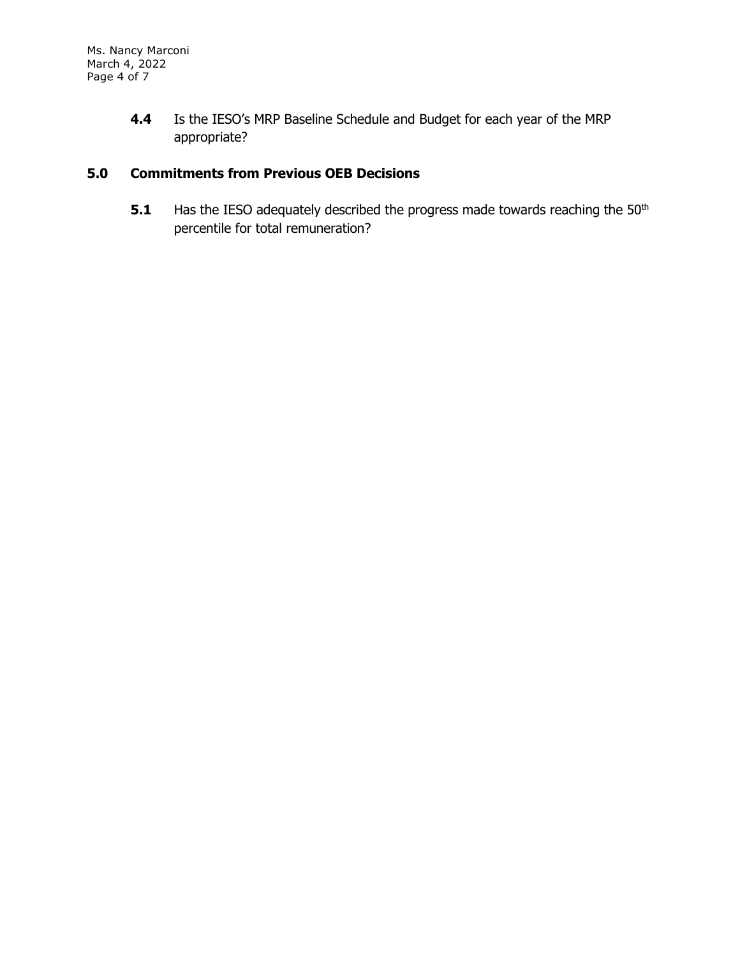**4.4** Is the IESO's MRP Baseline Schedule and Budget for each year of the MRP appropriate?

# **5.0 Commitments from Previous OEB Decisions**

**5.1** Has the IESO adequately described the progress made towards reaching the 50<sup>th</sup> percentile for total remuneration?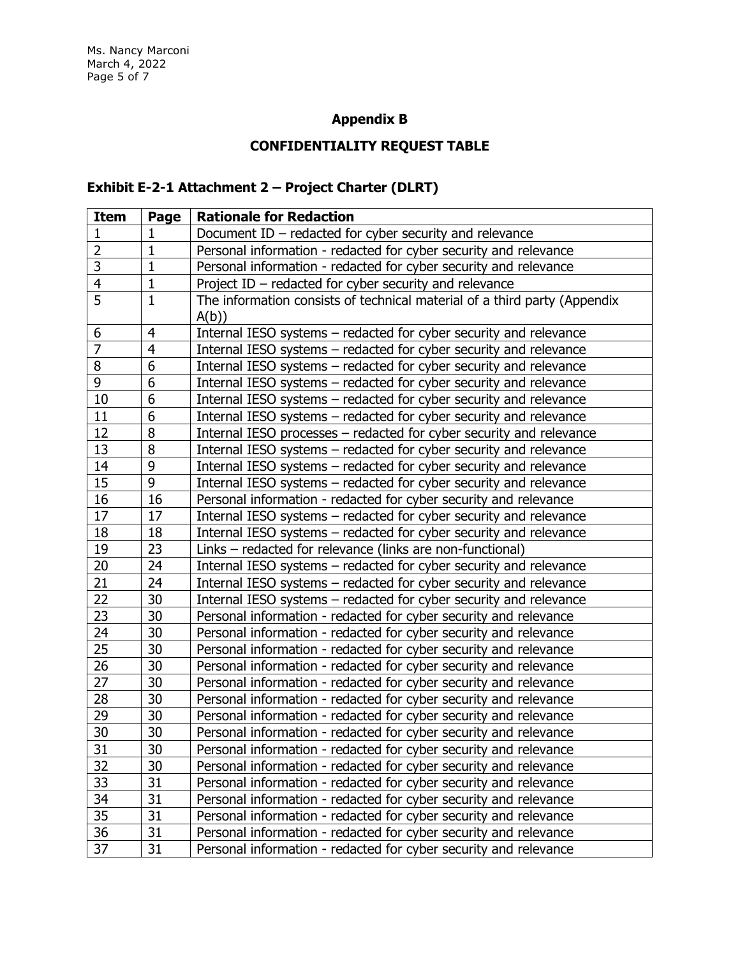# **Appendix B**

# **CONFIDENTIALITY REQUEST TABLE**

# **Exhibit E-2-1 Attachment 2 – Project Charter (DLRT)**

| <b>Item</b>    | Page           | <b>Rationale for Redaction</b>                                            |
|----------------|----------------|---------------------------------------------------------------------------|
| 1              | 1              | Document $ID$ – redacted for cyber security and relevance                 |
| $\overline{2}$ | $\mathbf{1}$   | Personal information - redacted for cyber security and relevance          |
| 3              | $\mathbf{1}$   | Personal information - redacted for cyber security and relevance          |
| 4              | 1              | Project ID - redacted for cyber security and relevance                    |
| $\overline{5}$ | $\mathbf{1}$   | The information consists of technical material of a third party (Appendix |
|                |                | A(b)                                                                      |
| 6              | $\overline{4}$ | Internal IESO systems - redacted for cyber security and relevance         |
| $\overline{7}$ | $\overline{4}$ | Internal IESO systems – redacted for cyber security and relevance         |
| 8              | 6              | Internal IESO systems - redacted for cyber security and relevance         |
| 9              | 6              | Internal IESO systems – redacted for cyber security and relevance         |
| 10             | 6              | Internal IESO systems – redacted for cyber security and relevance         |
| 11             | 6              | Internal IESO systems - redacted for cyber security and relevance         |
| 12             | 8              | Internal IESO processes – redacted for cyber security and relevance       |
| 13             | 8              | Internal IESO systems - redacted for cyber security and relevance         |
| 14             | 9              | Internal IESO systems - redacted for cyber security and relevance         |
| 15             | 9              | Internal IESO systems – redacted for cyber security and relevance         |
| 16             | 16             | Personal information - redacted for cyber security and relevance          |
| 17             | 17             | Internal IESO systems – redacted for cyber security and relevance         |
| 18             | 18             | Internal IESO systems - redacted for cyber security and relevance         |
| 19             | 23             | Links – redacted for relevance (links are non-functional)                 |
| 20             | 24             | Internal IESO systems - redacted for cyber security and relevance         |
| 21             | 24             | Internal IESO systems - redacted for cyber security and relevance         |
| 22             | 30             | Internal IESO systems – redacted for cyber security and relevance         |
| 23             | 30             | Personal information - redacted for cyber security and relevance          |
| 24             | 30             | Personal information - redacted for cyber security and relevance          |
| 25             | 30             | Personal information - redacted for cyber security and relevance          |
| 26             | 30             | Personal information - redacted for cyber security and relevance          |
| 27             | 30             | Personal information - redacted for cyber security and relevance          |
| 28             | 30             | Personal information - redacted for cyber security and relevance          |
| 29             | 30             | Personal information - redacted for cyber security and relevance          |
| 30             | 30             | Personal information - redacted for cyber security and relevance          |
| 31             | 30             | Personal information - redacted for cyber security and relevance          |
| 32             | 30             | Personal information - redacted for cyber security and relevance          |
| 33             | 31             | Personal information - redacted for cyber security and relevance          |
| 34             | 31             | Personal information - redacted for cyber security and relevance          |
| 35             | 31             | Personal information - redacted for cyber security and relevance          |
| 36             | 31             | Personal information - redacted for cyber security and relevance          |
| 37             | 31             | Personal information - redacted for cyber security and relevance          |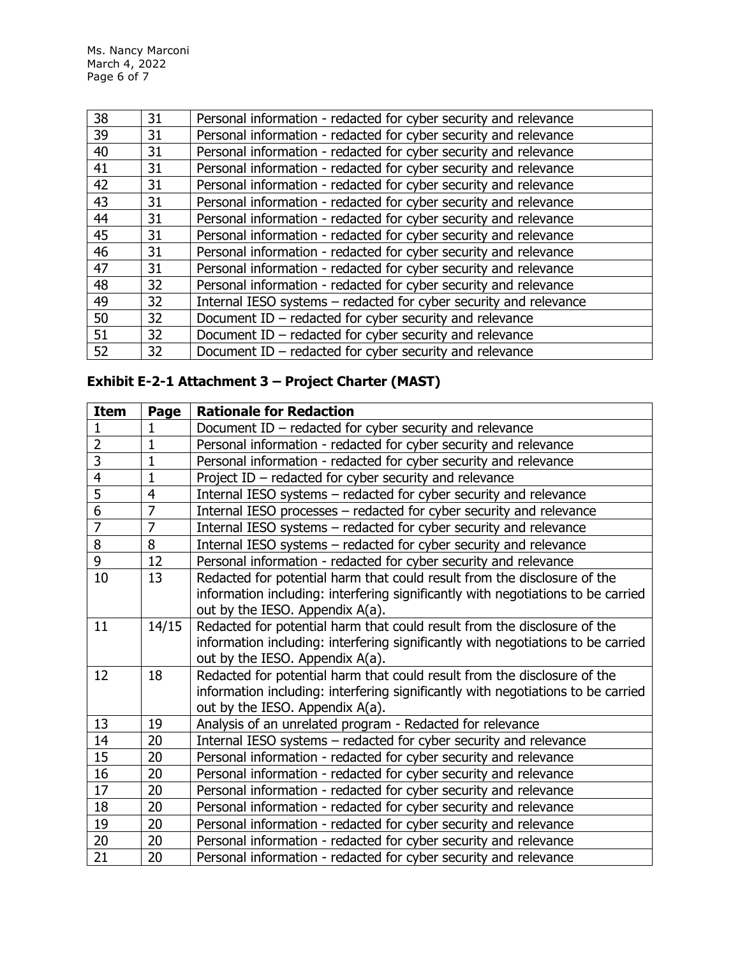Ms. Nancy Marconi March 4, 2022 Page 6 of 7

| 38 | 31 | Personal information - redacted for cyber security and relevance  |
|----|----|-------------------------------------------------------------------|
| 39 | 31 | Personal information - redacted for cyber security and relevance  |
| 40 | 31 | Personal information - redacted for cyber security and relevance  |
| 41 | 31 | Personal information - redacted for cyber security and relevance  |
| 42 | 31 | Personal information - redacted for cyber security and relevance  |
| 43 | 31 | Personal information - redacted for cyber security and relevance  |
| 44 | 31 | Personal information - redacted for cyber security and relevance  |
| 45 | 31 | Personal information - redacted for cyber security and relevance  |
| 46 | 31 | Personal information - redacted for cyber security and relevance  |
| 47 | 31 | Personal information - redacted for cyber security and relevance  |
| 48 | 32 | Personal information - redacted for cyber security and relevance  |
| 49 | 32 | Internal IESO systems - redacted for cyber security and relevance |
| 50 | 32 | Document ID $-$ redacted for cyber security and relevance         |
| 51 | 32 | Document ID $-$ redacted for cyber security and relevance         |
| 52 | 32 | Document ID $-$ redacted for cyber security and relevance         |

# **Exhibit E-2-1 Attachment 3 – Project Charter (MAST)**

| <b>Item</b>    | Page           | <b>Rationale for Redaction</b>                                                   |
|----------------|----------------|----------------------------------------------------------------------------------|
| $\mathbf{1}$   | 1              | Document ID - redacted for cyber security and relevance                          |
| $\overline{2}$ | $\mathbf{1}$   | Personal information - redacted for cyber security and relevance                 |
| $\overline{3}$ | $\mathbf{1}$   | Personal information - redacted for cyber security and relevance                 |
| $\overline{4}$ | $\mathbf{1}$   | Project ID - redacted for cyber security and relevance                           |
| 5              | $\overline{4}$ | Internal IESO systems – redacted for cyber security and relevance                |
| $\overline{6}$ | $\overline{7}$ | Internal IESO processes - redacted for cyber security and relevance              |
| $\overline{7}$ | $\overline{7}$ | Internal IESO systems - redacted for cyber security and relevance                |
| 8              | 8              | Internal IESO systems – redacted for cyber security and relevance                |
| 9              | 12             | Personal information - redacted for cyber security and relevance                 |
| 10             | 13             | Redacted for potential harm that could result from the disclosure of the         |
|                |                | information including: interfering significantly with negotiations to be carried |
|                |                | out by the IESO. Appendix A(a).                                                  |
| 11             | 14/15          | Redacted for potential harm that could result from the disclosure of the         |
|                |                | information including: interfering significantly with negotiations to be carried |
|                |                | out by the IESO. Appendix A(a).                                                  |
| 12             | 18             | Redacted for potential harm that could result from the disclosure of the         |
|                |                | information including: interfering significantly with negotiations to be carried |
|                |                | out by the IESO. Appendix A(a).                                                  |
| 13             | 19             | Analysis of an unrelated program - Redacted for relevance                        |
| 14             | 20             | Internal IESO systems - redacted for cyber security and relevance                |
| 15             | 20             | Personal information - redacted for cyber security and relevance                 |
| 16             | 20             | Personal information - redacted for cyber security and relevance                 |
| 17             | 20             | Personal information - redacted for cyber security and relevance                 |
| 18             | 20             | Personal information - redacted for cyber security and relevance                 |
| 19             | 20             | Personal information - redacted for cyber security and relevance                 |
| 20             | 20             | Personal information - redacted for cyber security and relevance                 |
| 21             | 20             | Personal information - redacted for cyber security and relevance                 |